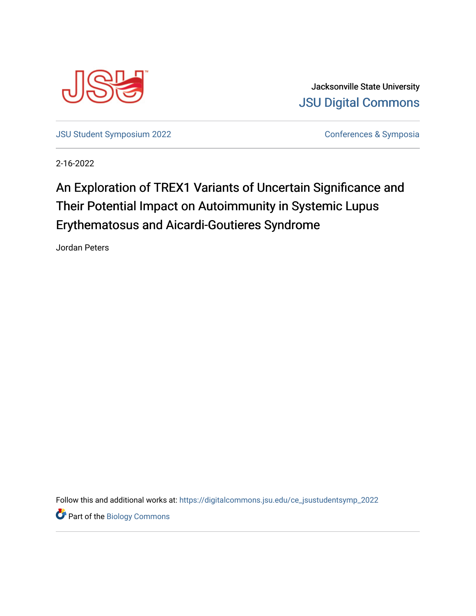

Jacksonville State University [JSU Digital Commons](https://digitalcommons.jsu.edu/) 

[JSU Student Symposium 2022](https://digitalcommons.jsu.edu/ce_jsustudentsymp_2022) **Conferences & Symposia** 

2-16-2022

## An Exploration of TREX1 Variants of Uncertain Significance and Their Potential Impact on Autoimmunity in Systemic Lupus Erythematosus and Aicardi-Goutieres Syndrome

Jordan Peters

Follow this and additional works at: [https://digitalcommons.jsu.edu/ce\\_jsustudentsymp\\_2022](https://digitalcommons.jsu.edu/ce_jsustudentsymp_2022?utm_source=digitalcommons.jsu.edu%2Fce_jsustudentsymp_2022%2F48&utm_medium=PDF&utm_campaign=PDFCoverPages) 

**Part of the Biology Commons**